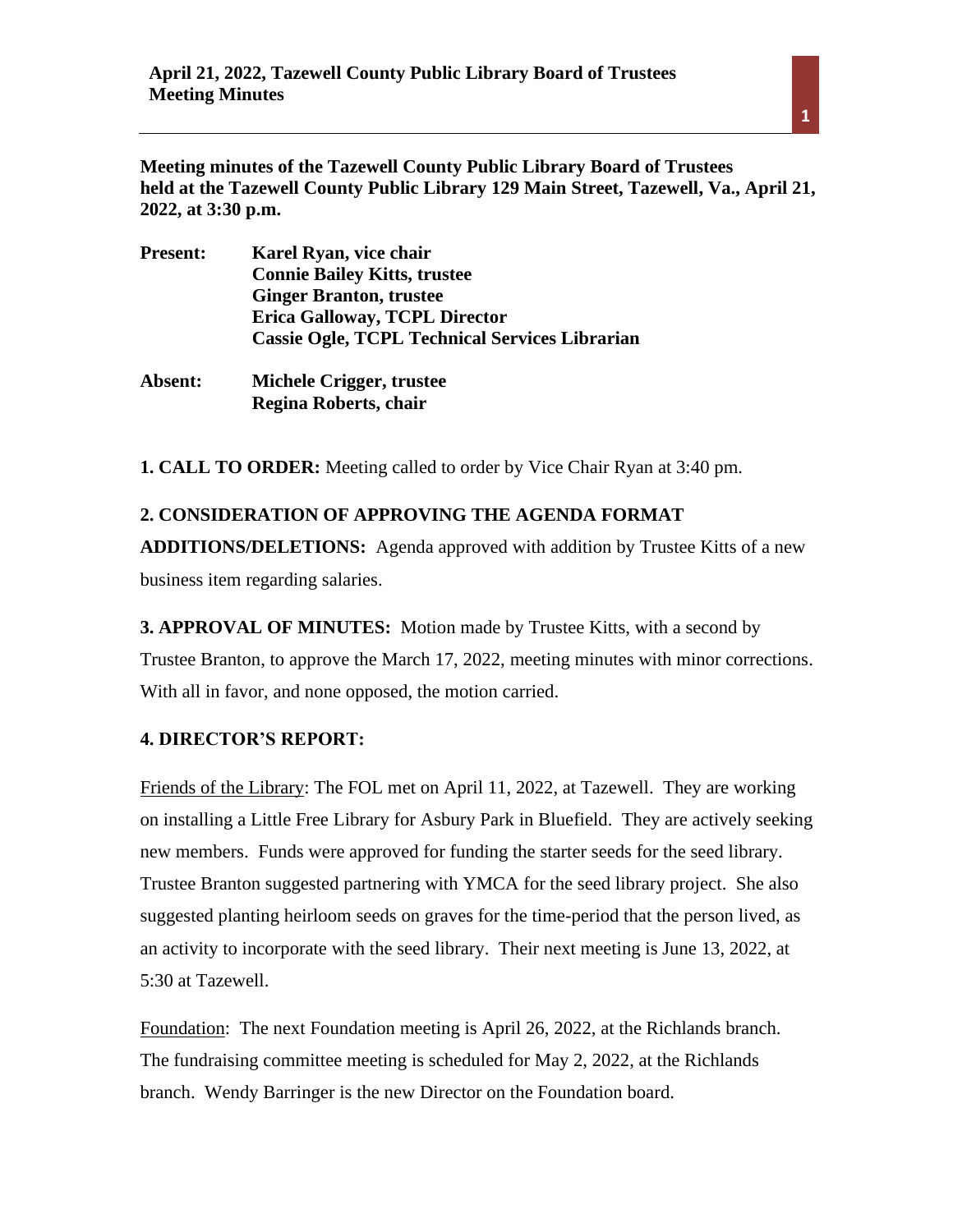**Meeting minutes of the Tazewell County Public Library Board of Trustees held at the Tazewell County Public Library 129 Main Street, Tazewell, Va., April 21, 2022, at 3:30 p.m.** 

| <b>Present:</b> | Karel Ryan, vice chair                                |
|-----------------|-------------------------------------------------------|
|                 | <b>Connie Bailey Kitts, trustee</b>                   |
|                 | <b>Ginger Branton, trustee</b>                        |
|                 | <b>Erica Galloway, TCPL Director</b>                  |
|                 | <b>Cassie Ogle, TCPL Technical Services Librarian</b> |
| Absent:         | Michele Crigger, trustee                              |

**Regina Roberts, chair**

**1. CALL TO ORDER:** Meeting called to order by Vice Chair Ryan at 3:40 pm.

**2. CONSIDERATION OF APPROVING THE AGENDA FORMAT ADDITIONS/DELETIONS:** Agenda approved with addition by Trustee Kitts of a new business item regarding salaries.

**3. APPROVAL OF MINUTES:** Motion made by Trustee Kitts, with a second by Trustee Branton, to approve the March 17, 2022, meeting minutes with minor corrections. With all in favor, and none opposed, the motion carried.

# **4. DIRECTOR'S REPORT:**

Friends of the Library: The FOL met on April 11, 2022, at Tazewell. They are working on installing a Little Free Library for Asbury Park in Bluefield. They are actively seeking new members. Funds were approved for funding the starter seeds for the seed library. Trustee Branton suggested partnering with YMCA for the seed library project. She also suggested planting heirloom seeds on graves for the time-period that the person lived, as an activity to incorporate with the seed library. Their next meeting is June 13, 2022, at 5:30 at Tazewell.

Foundation: The next Foundation meeting is April 26, 2022, at the Richlands branch. The fundraising committee meeting is scheduled for May 2, 2022, at the Richlands branch. Wendy Barringer is the new Director on the Foundation board.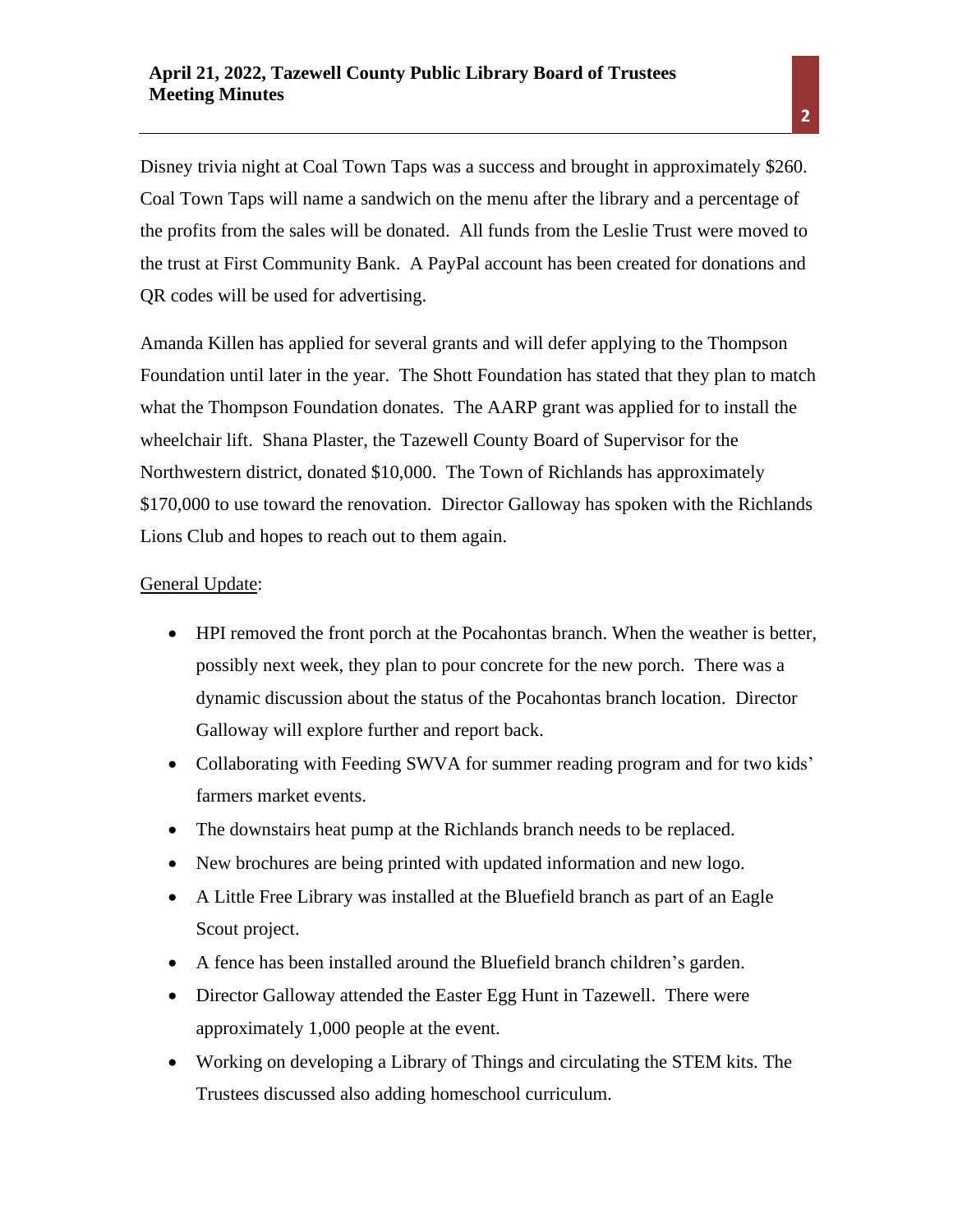Disney trivia night at Coal Town Taps was a success and brought in approximately \$260. Coal Town Taps will name a sandwich on the menu after the library and a percentage of the profits from the sales will be donated. All funds from the Leslie Trust were moved to the trust at First Community Bank. A PayPal account has been created for donations and QR codes will be used for advertising.

Amanda Killen has applied for several grants and will defer applying to the Thompson Foundation until later in the year. The Shott Foundation has stated that they plan to match what the Thompson Foundation donates. The AARP grant was applied for to install the wheelchair lift. Shana Plaster, the Tazewell County Board of Supervisor for the Northwestern district, donated \$10,000. The Town of Richlands has approximately \$170,000 to use toward the renovation. Director Galloway has spoken with the Richlands Lions Club and hopes to reach out to them again.

#### General Update:

- HPI removed the front porch at the Pocahontas branch. When the weather is better, possibly next week, they plan to pour concrete for the new porch. There was a dynamic discussion about the status of the Pocahontas branch location. Director Galloway will explore further and report back.
- Collaborating with Feeding SWVA for summer reading program and for two kids' farmers market events.
- The downstairs heat pump at the Richlands branch needs to be replaced.
- New brochures are being printed with updated information and new logo.
- A Little Free Library was installed at the Bluefield branch as part of an Eagle Scout project.
- A fence has been installed around the Bluefield branch children's garden.
- Director Galloway attended the Easter Egg Hunt in Tazewell. There were approximately 1,000 people at the event.
- Working on developing a Library of Things and circulating the STEM kits. The Trustees discussed also adding homeschool curriculum.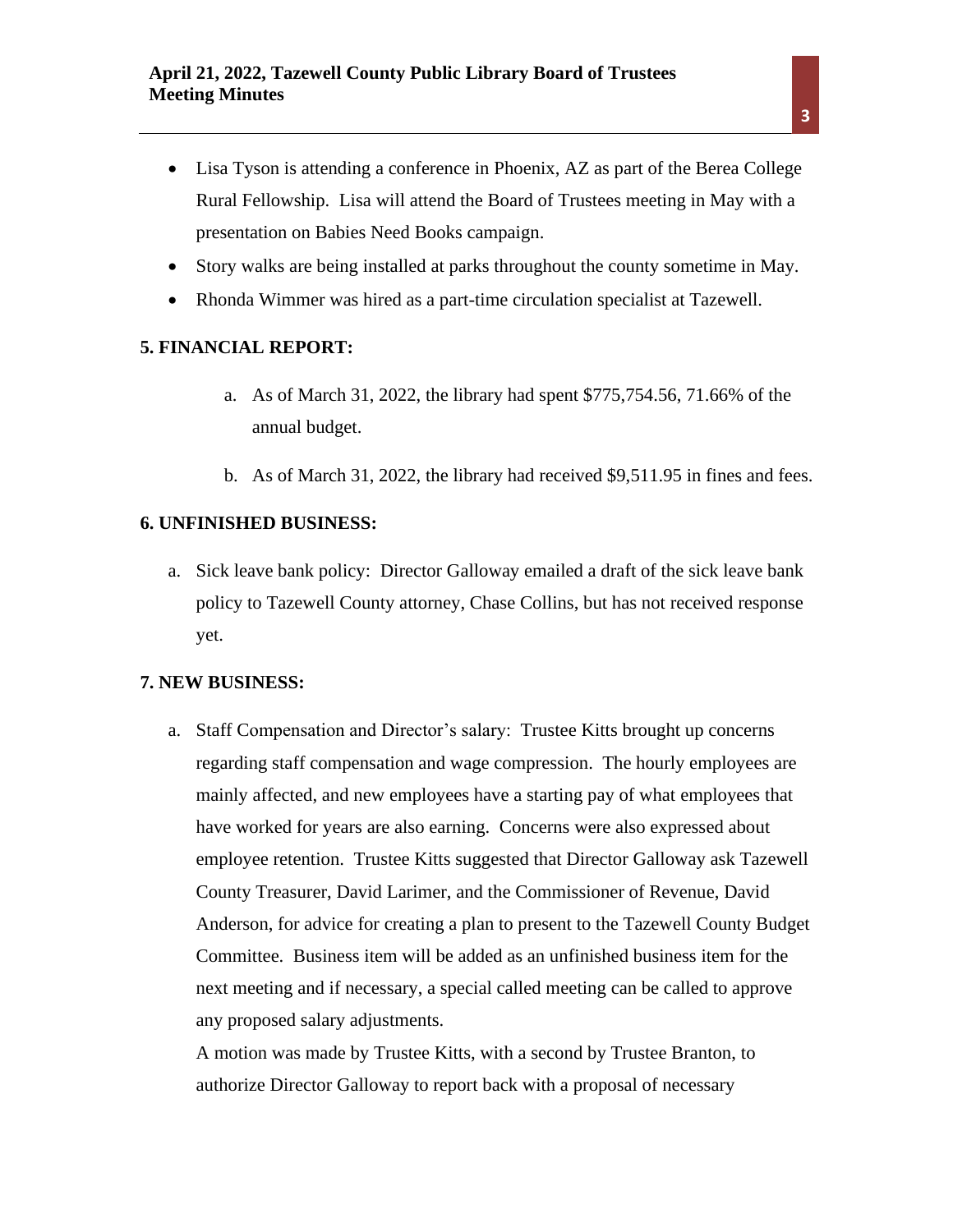- Lisa Tyson is attending a conference in Phoenix, AZ as part of the Berea College Rural Fellowship. Lisa will attend the Board of Trustees meeting in May with a presentation on Babies Need Books campaign.
- Story walks are being installed at parks throughout the county sometime in May.
- Rhonda Wimmer was hired as a part-time circulation specialist at Tazewell.

## **5. FINANCIAL REPORT:**

- a. As of March 31, 2022, the library had spent \$775,754.56, 71.66% of the annual budget.
- b. As of March 31, 2022, the library had received \$9,511.95 in fines and fees.

### **6. UNFINISHED BUSINESS:**

a. Sick leave bank policy: Director Galloway emailed a draft of the sick leave bank policy to Tazewell County attorney, Chase Collins, but has not received response yet.

#### **7. NEW BUSINESS:**

a. Staff Compensation and Director's salary: Trustee Kitts brought up concerns regarding staff compensation and wage compression. The hourly employees are mainly affected, and new employees have a starting pay of what employees that have worked for years are also earning. Concerns were also expressed about employee retention. Trustee Kitts suggested that Director Galloway ask Tazewell County Treasurer, David Larimer, and the Commissioner of Revenue, David Anderson, for advice for creating a plan to present to the Tazewell County Budget Committee. Business item will be added as an unfinished business item for the next meeting and if necessary, a special called meeting can be called to approve any proposed salary adjustments.

A motion was made by Trustee Kitts, with a second by Trustee Branton, to authorize Director Galloway to report back with a proposal of necessary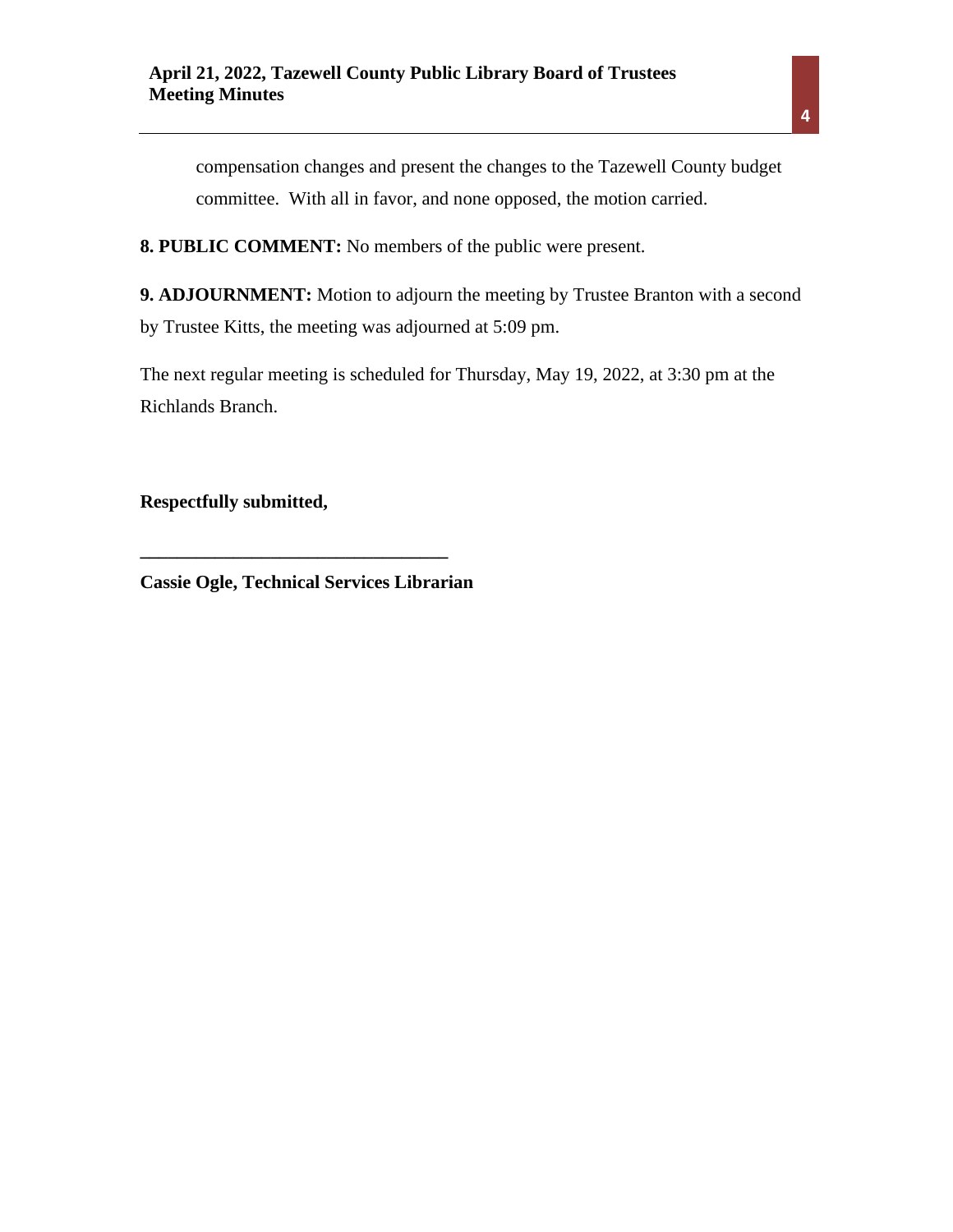compensation changes and present the changes to the Tazewell County budget committee. With all in favor, and none opposed, the motion carried.

**8. PUBLIC COMMENT:** No members of the public were present.

**9. ADJOURNMENT:** Motion to adjourn the meeting by Trustee Branton with a second by Trustee Kitts, the meeting was adjourned at 5:09 pm.

The next regular meeting is scheduled for Thursday, May 19, 2022, at 3:30 pm at the Richlands Branch.

**Respectfully submitted,** 

**Cassie Ogle, Technical Services Librarian**

**\_\_\_\_\_\_\_\_\_\_\_\_\_\_\_\_\_\_\_\_\_\_\_\_\_\_\_\_\_\_\_\_\_**